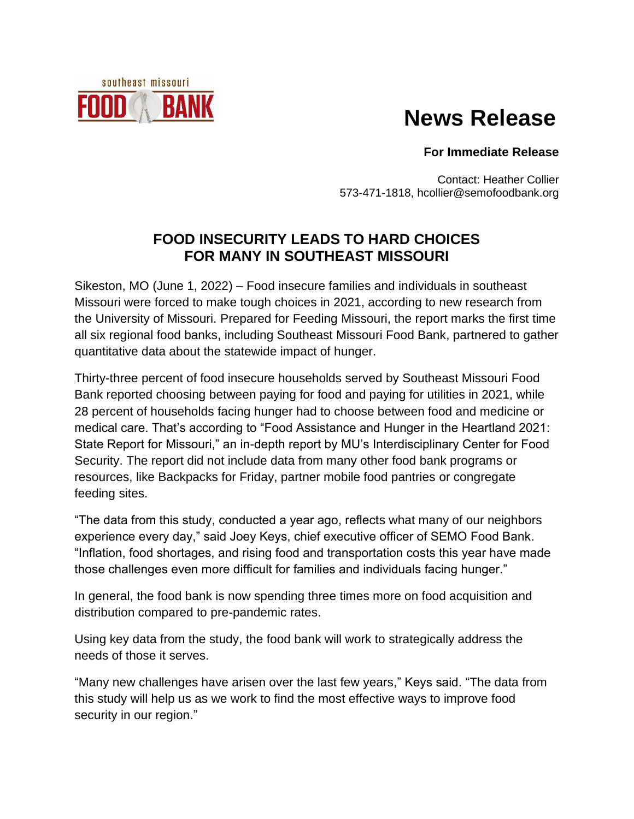## **News Release**

## **For Immediate Release**

Contact: Heather Collier 573-471-1818, hcollier@semofoodbank.org

## **FOOD INSECURITY LEADS TO HARD CHOICES FOR MANY IN SOUTHEAST MISSOURI**

southeast missouri

BAN

Sikeston, MO (June 1, 2022) – Food insecure families and individuals in southeast Missouri were forced to make tough choices in 2021, according to new research from the University of Missouri. Prepared for [Feeding Missouri,](https://feedingmissouri.org/) the report marks the first time [all six regional food banks,](https://feedingmissouri.org/get-help/your-fb/) including Southeast Missouri Food Bank, partnered to gather quantitative data about the statewide impact of hunger.

Thirty-three percent of food insecure households served by Southeast Missouri Food Bank reported choosing between paying for food and paying for utilities in 2021, while 28 percent of households facing hunger had to choose between food and medicine or medical care. That's according to "Food Assistance and Hunger in the Heartland 2021: State Report for Missouri," an in-depth report by MU's Interdisciplinary Center for Food Security. The report did not include data from many other food bank programs or resources, like Backpacks for Friday, partner mobile food pantries or congregate feeding sites.

"The data from this study, conducted a year ago, reflects what many of our neighbors experience every day," said Joey Keys, chief executive officer of SEMO Food Bank. "Inflation, food shortages, and rising food and transportation costs this year have made those challenges even more difficult for families and individuals facing hunger."

In general, the food bank is now spending three times more on food acquisition and distribution compared to pre-pandemic rates.

Using key data from the study, the food bank will work to strategically address the needs of those it serves.

"Many new challenges have arisen over the last few years," Keys said. "The data from this study will help us as we work to find the most effective ways to improve food security in our region."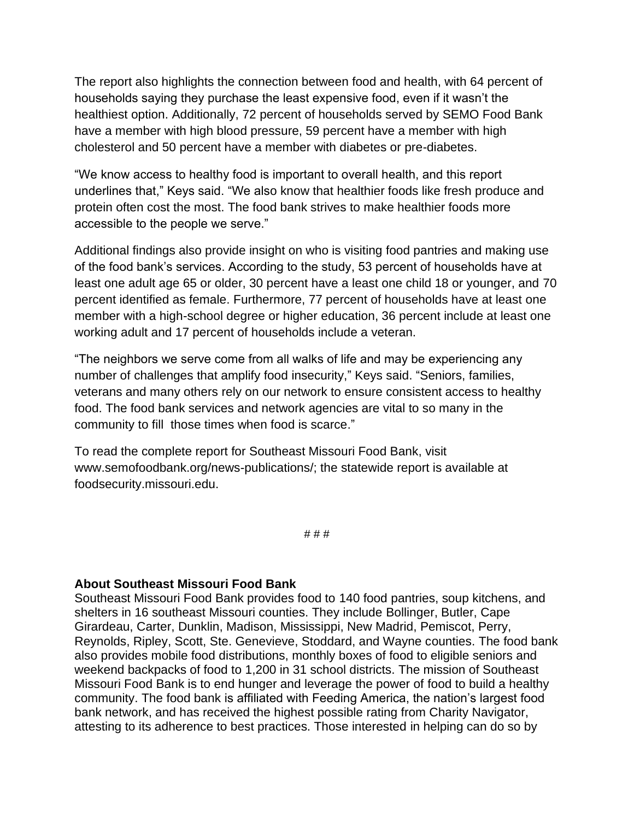The report also highlights the connection between food and health, with 64 percent of households saying they purchase the least expensive food, even if it wasn't the healthiest option. Additionally, 72 percent of households served by SEMO Food Bank have a member with high blood pressure, 59 percent have a member with high cholesterol and 50 percent have a member with diabetes or pre-diabetes.

"We know access to healthy food is important to overall health, and this report underlines that," Keys said. "We also know that healthier foods like fresh produce and protein often cost the most. The food bank strives to make healthier foods more accessible to the people we serve."

Additional findings also provide insight on who is visiting food pantries and making use of the food bank's services. According to the study, 53 percent of households have at least one adult age 65 or older, 30 percent have a least one child 18 or younger, and 70 percent identified as female. Furthermore, 77 percent of households have at least one member with a high-school degree or higher education, 36 percent include at least one working adult and 17 percent of households include a veteran.

"The neighbors we serve come from all walks of life and may be experiencing any number of challenges that amplify food insecurity," Keys said. "Seniors, families, veterans and many others rely on our network to ensure consistent access to healthy food. The food bank services and network agencies are vital to so many in the community to fill those times when food is scarce."

To read the complete report for Southeast Missouri Food Bank, visit www.semofoodbank.org/news-publications/; the statewide report is available at foodsecurity.missouri.edu.

# # #

## **About Southeast Missouri Food Bank**

Southeast Missouri Food Bank provides food to 140 food pantries, soup kitchens, and shelters in 16 southeast Missouri counties. They include Bollinger, Butler, Cape Girardeau, Carter, Dunklin, Madison, Mississippi, New Madrid, Pemiscot, Perry, Reynolds, Ripley, Scott, Ste. Genevieve, Stoddard, and Wayne counties. The food bank also provides mobile food distributions, monthly boxes of food to eligible seniors and weekend backpacks of food to 1,200 in 31 school districts. The mission of Southeast Missouri Food Bank is to end hunger and leverage the power of food to build a healthy community. The food bank is affiliated with Feeding America, the nation's largest food bank network, and has received the highest possible rating from Charity Navigator, attesting to its adherence to best practices. Those interested in helping can do so by